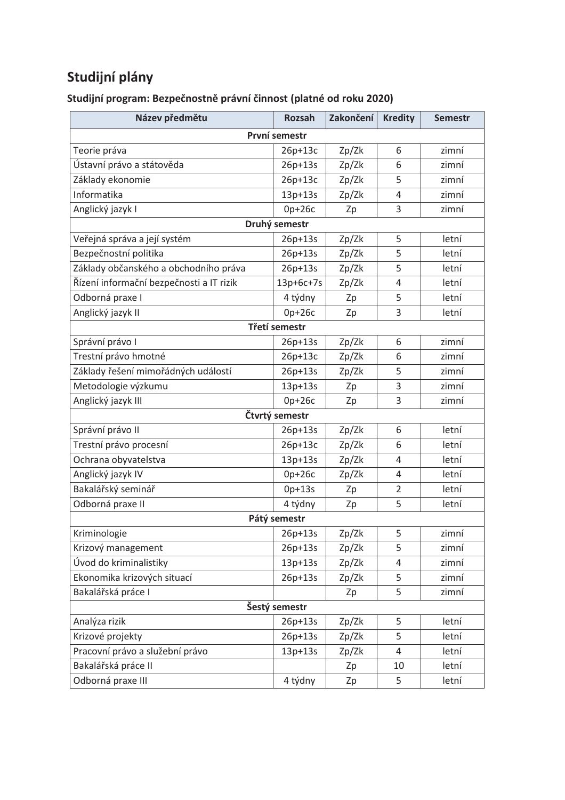## **Studijní plány**

| Název předmětu                           | <b>Rozsah</b>  | Zakončení | <b>Kredity</b> | <b>Semestr</b> |
|------------------------------------------|----------------|-----------|----------------|----------------|
| První semestr                            |                |           |                |                |
| Teorie práva                             | $26p+13c$      | Zp/Zk     | 6              | zimní          |
| Ústavní právo a státověda                | $26p+13s$      | Zp/Zk     | 6              | zimní          |
| Základy ekonomie                         | $26p+13c$      | Zp/Zk     | 5              | zimní          |
| Informatika                              | 13p+13s        | Zp/Zk     | 4              | zimní          |
| Anglický jazyk I                         | $0p+26c$       | Zp        | 3              | zimní          |
|                                          | Druhý semestr  |           |                |                |
| Veřejná správa a její systém             | 26p+13s        | Zp/Zk     | 5              | letní          |
| Bezpečnostní politika                    | $26p+13s$      | Zp/Zk     | 5              | letní          |
| Základy občanského a obchodního práva    | 26p+13s        | Zp/Zk     | 5              | letní          |
| Řízení informační bezpečnosti a IT rizik | 13p+6c+7s      | Zp/Zk     | 4              | letní          |
| Odborná praxe I                          | 4 týdny        | Zp        | 5              | letní          |
| Anglický jazyk II                        | $Op+26c$       | Zp        | 3              | letní          |
|                                          | Třetí semestr  |           |                |                |
| Správní právo I                          | 26p+13s        | Zp/Zk     | 6              | zimní          |
| Trestní právo hmotné                     | $26p+13c$      | Zp/Zk     | 6              | zimní          |
| Základy řešení mimořádných událostí      | 26p+13s        | Zp/Zk     | 5              | zimní          |
| Metodologie výzkumu                      | 13p+13s        | Zp        | 3              | zimní          |
| Anglický jazyk III                       | $0p+26c$       | Zp        | 3              | zimní          |
|                                          | Čtvrtý semestr |           |                |                |
| Správní právo II                         | $26p+13s$      | Zp/Zk     | 6              | letní          |
| Trestní právo procesní                   | 26p+13c        | Zp/Zk     | 6              | letní          |
| Ochrana obyvatelstva                     | $13p+13s$      | Zp/Zk     | 4              | letní          |
| Anglický jazyk IV                        | $0p+26c$       | Zp/Zk     | 4              | letní          |
| Bakalářský seminář                       | $0p+13s$       | Zp        | $\overline{2}$ | letní          |
| Odborná praxe II                         | 4 týdny        | Zp        | 5              | letní          |
|                                          | Pátý semestr   |           |                |                |
| Kriminologie                             | 26p+13s        | Zp/Zk     | 5              | zimní          |
| Krizový management                       | 26p+13s        | Zp/Zk     | 5              | zimní          |
| Úvod do kriminalistiky                   | 13p+13s        | Zp/Zk     | 4              | zimní          |
| Ekonomika krizových situací              | 26p+13s        | Zp/Zk     | 5              | zimní          |
| Bakalářská práce I                       |                | Zp        | 5              | zimní          |
| Šestý semestr                            |                |           |                |                |
| Analýza rizik                            | 26p+13s        | Zp/Zk     | 5              | letní          |
| Krizové projekty                         | 26p+13s        | Zp/Zk     | 5              | letní          |
| Pracovní právo a služební právo          | $13p+13s$      | Zp/Zk     | 4              | letní          |
| Bakalářská práce II                      |                | Zp        | 10             | letní          |
| Odborná praxe III                        | 4 týdny        | Zp        | 5              | letní          |

Studijní program: Bezpečnostně právní činnost (platné od roku 2020)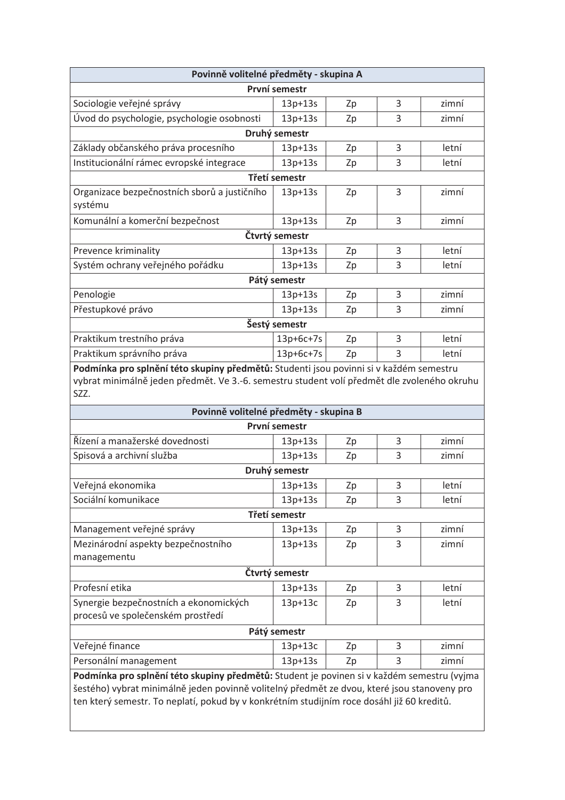| Povinně volitelné předměty - skupina A |    |   |       |  |  |
|----------------------------------------|----|---|-------|--|--|
| První semestr                          |    |   |       |  |  |
| $13p+13s$                              | Zp | 3 | zimní |  |  |
| $13p+13s$                              | Zp | 3 | zimní |  |  |
| Druhý semestr                          |    |   |       |  |  |
| $13p+13s$                              | Zp | 3 | letní |  |  |
| $13p+13s$                              | Zp | 3 | letní |  |  |
| Třetí semestr                          |    |   |       |  |  |
| $13p+13s$                              | Zp | 3 | zimní |  |  |
|                                        |    |   |       |  |  |
| $13p+13s$                              | Zp | 3 | zimní |  |  |
| Čtvrtý semestr                         |    |   |       |  |  |
| $13p+13s$                              | Zp | 3 | letní |  |  |
| 13p+13s                                | Zp | 3 | letní |  |  |
| Pátý semestr                           |    |   |       |  |  |
| $13p+13s$                              | Zp | 3 | zimní |  |  |
| $13p+13s$                              | Zp | 3 | zimní |  |  |
| Šestý semestr                          |    |   |       |  |  |
| $13p+6c+7s$                            | Zp | 3 | letní |  |  |
| $13p+6c+7s$                            | Zp | 3 | letní |  |  |
|                                        |    |   |       |  |  |

Podmínka pro splnění této skupiny předmětů: Studenti jsou povinni si v každém semestru vybrat minimálně jeden předmět. Ve 3.-6. semestru student volí předmět dle zvoleného okruhu  $s\overline{z}z$ .

| Povinně volitelné předměty - skupina B                                                      |           |    |   |       |  |
|---------------------------------------------------------------------------------------------|-----------|----|---|-------|--|
| První semestr                                                                               |           |    |   |       |  |
| Řízení a manažerské dovednosti                                                              | $13p+13s$ | Zp | 3 | zimní |  |
| Spisová a archivní služba                                                                   | $13p+13s$ | Zp | 3 | zimní |  |
| Druhý semestr                                                                               |           |    |   |       |  |
| Veřejná ekonomika                                                                           | $13p+13s$ | Zp | 3 | letní |  |
| Sociální komunikace                                                                         | $13p+13s$ | Zp | 3 | letní |  |
| Třetí semestr                                                                               |           |    |   |       |  |
| Management veřejné správy                                                                   | $13p+13s$ | Zp | 3 | zimní |  |
| Mezinárodní aspekty bezpečnostního                                                          | $13p+13s$ | Zp | 3 | zimní |  |
| managementu                                                                                 |           |    |   |       |  |
| Čtvrtý semestr                                                                              |           |    |   |       |  |
| Profesní etika                                                                              | $13p+13s$ | Zp | 3 | letní |  |
| Synergie bezpečnostních a ekonomických                                                      | $13p+13c$ | Zp | 3 | letní |  |
| procesů ve společenském prostředí                                                           |           |    |   |       |  |
| Pátý semestr                                                                                |           |    |   |       |  |
| Veřejné finance                                                                             | $13p+13c$ | Zp | 3 | zimní |  |
| Personální management                                                                       | 13p+13s   | Zp | 3 | zimní |  |
| Podmínka pro splnění této skupiny předmětů: Student je povinen si v každém semestru (vyjma  |           |    |   |       |  |
| šestého) vybrat minimálně jeden povinně volitelný předmět ze dvou, které jsou stanoveny pro |           |    |   |       |  |
| ten který semestr. To neplatí, pokud by v konkrétním studijním roce dosáhl již 60 kreditů.  |           |    |   |       |  |